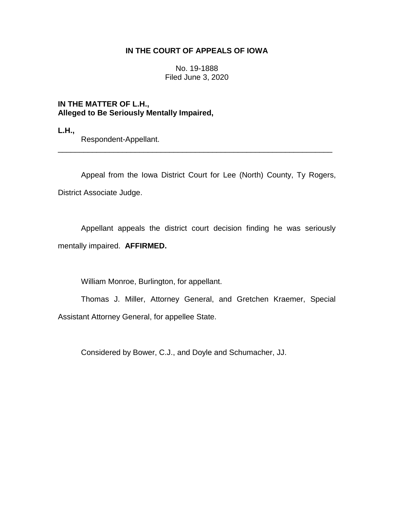# **IN THE COURT OF APPEALS OF IOWA**

No. 19-1888 Filed June 3, 2020

**IN THE MATTER OF L.H., Alleged to Be Seriously Mentally Impaired,**

**L.H.,**

Respondent-Appellant.

Appeal from the Iowa District Court for Lee (North) County, Ty Rogers, District Associate Judge.

\_\_\_\_\_\_\_\_\_\_\_\_\_\_\_\_\_\_\_\_\_\_\_\_\_\_\_\_\_\_\_\_\_\_\_\_\_\_\_\_\_\_\_\_\_\_\_\_\_\_\_\_\_\_\_\_\_\_\_\_\_\_\_\_

Appellant appeals the district court decision finding he was seriously mentally impaired. **AFFIRMED.**

William Monroe, Burlington, for appellant.

Thomas J. Miller, Attorney General, and Gretchen Kraemer, Special Assistant Attorney General, for appellee State.

Considered by Bower, C.J., and Doyle and Schumacher, JJ.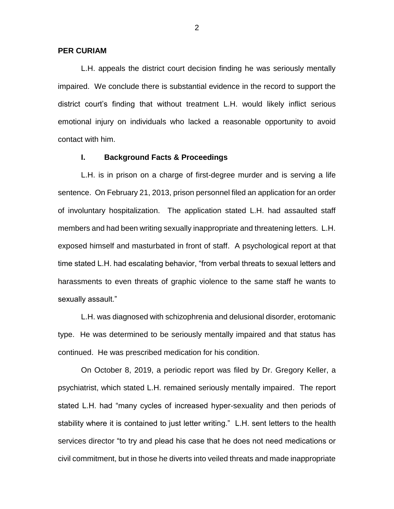### **PER CURIAM**

L.H. appeals the district court decision finding he was seriously mentally impaired. We conclude there is substantial evidence in the record to support the district court's finding that without treatment L.H. would likely inflict serious emotional injury on individuals who lacked a reasonable opportunity to avoid contact with him.

## **I. Background Facts & Proceedings**

L.H. is in prison on a charge of first-degree murder and is serving a life sentence. On February 21, 2013, prison personnel filed an application for an order of involuntary hospitalization. The application stated L.H. had assaulted staff members and had been writing sexually inappropriate and threatening letters. L.H. exposed himself and masturbated in front of staff. A psychological report at that time stated L.H. had escalating behavior, "from verbal threats to sexual letters and harassments to even threats of graphic violence to the same staff he wants to sexually assault."

L.H. was diagnosed with schizophrenia and delusional disorder, erotomanic type. He was determined to be seriously mentally impaired and that status has continued. He was prescribed medication for his condition.

On October 8, 2019, a periodic report was filed by Dr. Gregory Keller, a psychiatrist, which stated L.H. remained seriously mentally impaired. The report stated L.H. had "many cycles of increased hyper-sexuality and then periods of stability where it is contained to just letter writing." L.H. sent letters to the health services director "to try and plead his case that he does not need medications or civil commitment, but in those he diverts into veiled threats and made inappropriate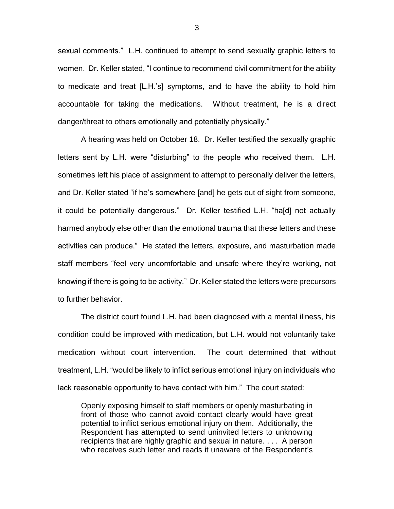sexual comments." L.H. continued to attempt to send sexually graphic letters to women. Dr. Keller stated, "I continue to recommend civil commitment for the ability to medicate and treat [L.H.'s] symptoms, and to have the ability to hold him accountable for taking the medications. Without treatment, he is a direct danger/threat to others emotionally and potentially physically."

A hearing was held on October 18. Dr. Keller testified the sexually graphic letters sent by L.H. were "disturbing" to the people who received them. L.H. sometimes left his place of assignment to attempt to personally deliver the letters, and Dr. Keller stated "if he's somewhere [and] he gets out of sight from someone, it could be potentially dangerous." Dr. Keller testified L.H. "ha[d] not actually harmed anybody else other than the emotional trauma that these letters and these activities can produce." He stated the letters, exposure, and masturbation made staff members "feel very uncomfortable and unsafe where they're working, not knowing if there is going to be activity." Dr. Keller stated the letters were precursors to further behavior.

The district court found L.H. had been diagnosed with a mental illness, his condition could be improved with medication, but L.H. would not voluntarily take medication without court intervention. The court determined that without treatment, L.H. "would be likely to inflict serious emotional injury on individuals who lack reasonable opportunity to have contact with him." The court stated:

Openly exposing himself to staff members or openly masturbating in front of those who cannot avoid contact clearly would have great potential to inflict serious emotional injury on them. Additionally, the Respondent has attempted to send uninvited letters to unknowing recipients that are highly graphic and sexual in nature. . . . A person who receives such letter and reads it unaware of the Respondent's

3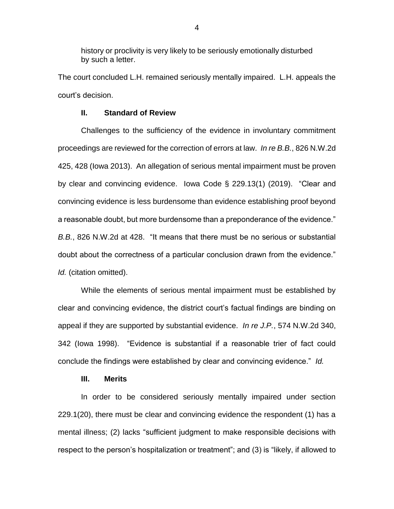history or proclivity is very likely to be seriously emotionally disturbed by such a letter.

The court concluded L.H. remained seriously mentally impaired. L.H. appeals the court's decision.

### **II. Standard of Review**

Challenges to the sufficiency of the evidence in involuntary commitment proceedings are reviewed for the correction of errors at law. *In re B.B.*, 826 N.W.2d 425, 428 (Iowa 2013). An allegation of serious mental impairment must be proven by clear and convincing evidence. Iowa Code § 229.13(1) (2019). "Clear and convincing evidence is less burdensome than evidence establishing proof beyond a reasonable doubt, but more burdensome than a preponderance of the evidence." *B.B.*, 826 N.W.2d at 428. "It means that there must be no serious or substantial doubt about the correctness of a particular conclusion drawn from the evidence." *Id.* (citation omitted).

While the elements of serious mental impairment must be established by clear and convincing evidence, the district court's factual findings are binding on appeal if they are supported by substantial evidence. *In re J.P.*, 574 N.W.2d 340, 342 (Iowa 1998). "Evidence is substantial if a reasonable trier of fact could conclude the findings were established by clear and convincing evidence." *Id.*

## **III. Merits**

In order to be considered seriously mentally impaired under section 229.1(20), there must be clear and convincing evidence the respondent (1) has a mental illness; (2) lacks "sufficient judgment to make responsible decisions with respect to the person's hospitalization or treatment"; and (3) is "likely, if allowed to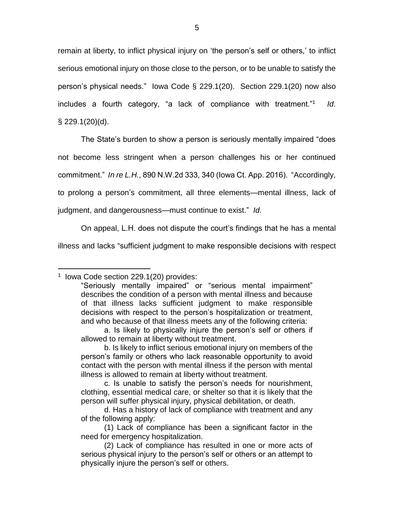remain at liberty, to inflict physical injury on 'the person's self or others,' to inflict serious emotional injury on those close to the person, or to be unable to satisfy the person's physical needs." Iowa Code § 229.1(20). Section 229.1(20) now also includes a fourth category, "a lack of compliance with treatment."<sup>1</sup> *Id*. § 229.1(20)(d).

The State's burden to show a person is seriously mentally impaired "does not become less stringent when a person challenges his or her continued commitment." *In re L.H.*, 890 N.W.2d 333, 340 (Iowa Ct. App. 2016). "Accordingly, to prolong a person's commitment, all three elements—mental illness, lack of

judgment, and dangerousness—must continue to exist." *Id.*

On appeal, L.H. does not dispute the court's findings that he has a mental

illness and lacks "sufficient judgment to make responsible decisions with respect

 $\overline{a}$ 1 Iowa Code section 229.1(20) provides:

<sup>&</sup>quot;Seriously mentally impaired" or "serious mental impairment" describes the condition of a person with mental illness and because of that illness lacks sufficient judgment to make responsible decisions with respect to the person's hospitalization or treatment, and who because of that illness meets any of the following criteria:

a. Is likely to physically injure the person's self or others if allowed to remain at liberty without treatment.

b. Is likely to inflict serious emotional injury on members of the person's family or others who lack reasonable opportunity to avoid contact with the person with mental illness if the person with mental illness is allowed to remain at liberty without treatment.

c. Is unable to satisfy the person's needs for nourishment, clothing, essential medical care, or shelter so that it is likely that the person will suffer physical injury, physical debilitation, or death.

d. Has a history of lack of compliance with treatment and any of the following apply:

<sup>(1)</sup> Lack of compliance has been a significant factor in the need for emergency hospitalization.

<sup>(2)</sup> Lack of compliance has resulted in one or more acts of serious physical injury to the person's self or others or an attempt to physically injure the person's self or others.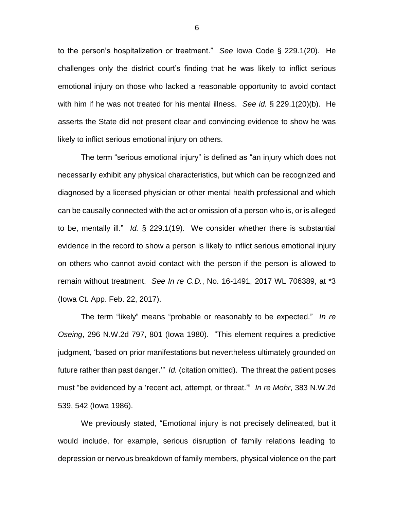to the person's hospitalization or treatment." *See* Iowa Code § 229.1(20). He challenges only the district court's finding that he was likely to inflict serious emotional injury on those who lacked a reasonable opportunity to avoid contact with him if he was not treated for his mental illness. *See id.* § 229.1(20)(b). He asserts the State did not present clear and convincing evidence to show he was likely to inflict serious emotional injury on others.

The term "serious emotional injury" is defined as "an injury which does not necessarily exhibit any physical characteristics, but which can be recognized and diagnosed by a licensed physician or other mental health professional and which can be causally connected with the act or omission of a person who is, or is alleged to be, mentally ill." *Id.* § 229.1(19). We consider whether there is substantial evidence in the record to show a person is likely to inflict serious emotional injury on others who cannot avoid contact with the person if the person is allowed to remain without treatment. *See In re C.D.*, No. 16-1491, 2017 WL 706389, at \*3 (Iowa Ct. App. Feb. 22, 2017).

The term "likely" means "probable or reasonably to be expected." *In re Oseing*, 296 N.W.2d 797, 801 (Iowa 1980). "This element requires a predictive judgment, 'based on prior manifestations but nevertheless ultimately grounded on future rather than past danger.'" *Id.* (citation omitted). The threat the patient poses must "be evidenced by a 'recent act, attempt, or threat.'" *In re Mohr*, 383 N.W.2d 539, 542 (Iowa 1986).

We previously stated, "Emotional injury is not precisely delineated, but it would include, for example, serious disruption of family relations leading to depression or nervous breakdown of family members, physical violence on the part

6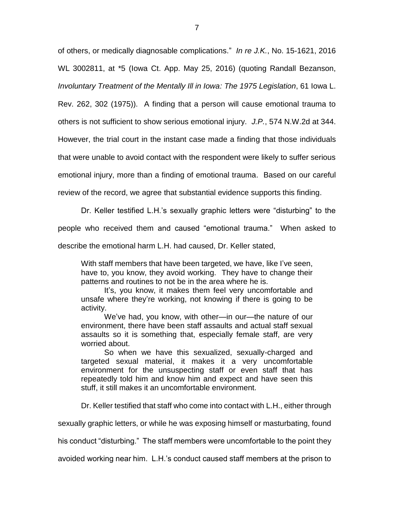of others, or medically diagnosable complications." *In re J.K.*, No. 15-1621, 2016 WL 3002811, at \*5 (Iowa Ct. App. May 25, 2016) (quoting Randall Bezanson, *Involuntary Treatment of the Mentally Ill in Iowa: The 1975 Legislation*, 61 Iowa L. Rev. 262, 302 (1975)). A finding that a person will cause emotional trauma to others is not sufficient to show serious emotional injury. *J.P.*, 574 N.W.2d at 344.

However, the trial court in the instant case made a finding that those individuals

that were unable to avoid contact with the respondent were likely to suffer serious

emotional injury, more than a finding of emotional trauma. Based on our careful

review of the record, we agree that substantial evidence supports this finding.

Dr. Keller testified L.H.'s sexually graphic letters were "disturbing" to the people who received them and caused "emotional trauma." When asked to

describe the emotional harm L.H. had caused, Dr. Keller stated,

With staff members that have been targeted, we have, like I've seen, have to, you know, they avoid working. They have to change their patterns and routines to not be in the area where he is.

It's, you know, it makes them feel very uncomfortable and unsafe where they're working, not knowing if there is going to be activity.

We've had, you know, with other—in our—the nature of our environment, there have been staff assaults and actual staff sexual assaults so it is something that, especially female staff, are very worried about.

So when we have this sexualized, sexually-charged and targeted sexual material, it makes it a very uncomfortable environment for the unsuspecting staff or even staff that has repeatedly told him and know him and expect and have seen this stuff, it still makes it an uncomfortable environment.

Dr. Keller testified that staff who come into contact with L.H., either through

sexually graphic letters, or while he was exposing himself or masturbating, found

his conduct "disturbing." The staff members were uncomfortable to the point they

avoided working near him. L.H.'s conduct caused staff members at the prison to